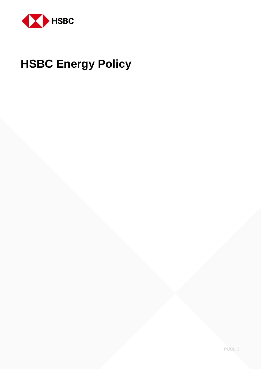

# **HSBC Energy Policy**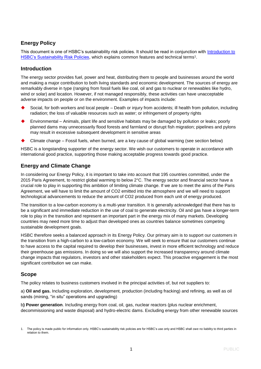# **Energy Policy**

This document is one of HSBC's sustainability risk policies. It should be read in conjunction with [Introduction to](http://www.hsbc.com/-/media/hsbc-com/citizenship/sustainability/pdf/hsbc-intro-to-sustainability-risk-policies-march-2014.pdf)  [HSBC's Sustainability Risk Policies,](http://www.hsbc.com/-/media/hsbc-com/citizenship/sustainability/pdf/hsbc-intro-to-sustainability-risk-policies-march-2014.pdf) which explains common features and technical terms<sup>1</sup>.

## **Introduction**

The energy sector provides fuel, power and heat, distributing them to people and businesses around the world and making a major contribution to both living standards and economic development. The sources of energy are remarkably diverse in type (ranging from fossil fuels like coal, oil and gas to nuclear or renewables like hydro, wind or solar) and location. However, if not managed responsibly, these activities can have unacceptable adverse impacts on people or on the environment. Examples of impacts include:

- Social, for both workers and local people Death or injury from accidents; ill health from pollution, including radiation; the loss of valuable resources such as water; or infringement of property rights
- Environmental Animals, plant life and sensitive habitats may be damaged by pollution or leaks; poorly planned dams may unnecessarily flood forests and farmland or disrupt fish migration; pipelines and pylons may result in excessive subsequent development in sensitive areas
- Climate change Fossil fuels, when burned, are a key cause of global warming (see section below)

HSBC is a longstanding supporter of the energy sector. We wish our customers to operate in accordance with international good practice, supporting those making acceptable progress towards good practice.

# **Energy and Climate Change**

In considering our Energy Policy, it is important to take into account that 195 countries committed, under the 2015 Paris Agreement, to restrict global warming to below 2°C. The energy sector and financial sector have a crucial role to play in supporting this ambition of limiting climate change. If we are to meet the aims of the Paris Agreement, we will have to limit the amount of CO2 emitted into the atmosphere and we will need to support technological advancements to reduce the amount of CO2 produced from each unit of energy produced.

The transition to a low-carbon economy is a multi-year transition. It is generally acknowledged that there has to be a significant and immediate reduction in the use of coal to generate electricity. Oil and gas have a longer-term role to play in the transition and represent an important part in the energy mix of many markets. Developing countries may need more time to adjust than developed ones as countries balance sometimes competing sustainable development goals.

HSBC therefore seeks a balanced approach in its Energy Policy. Our primary aim is to support our customers in the transition from a high-carbon to a low-carbon economy. We will seek to ensure that our customers continue to have access to the capital required to develop their businesses, invest in more efficient technology and reduce their greenhouse gas emissions. In doing so we will also support the increased transparency around climate change impacts that regulators, investors and other stakeholders expect. This proactive engagement is the most significant contribution we can make.

# **Scope**

The policy relates to business customers involved in the principal activities of, but not suppliers to:

a) **Oil and gas.** Including exploration, development, production (including fracking) and refining, as well as oil sands (mining, "in situ" operations and upgrading)

b**) Power generation**. Including energy from coal, oil, gas, nuclear reactors (plus nuclear enrichment, decommissioning and waste disposal) and hydro-electric dams. Excluding energy from other renewable sources

The policy is made public for information only. HSBC's sustainability risk policies are for HSBC's use only and HSBC shall owe no liability to third parties in relation to them.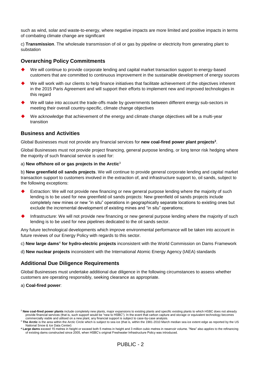such as wind, solar and waste-to-energy, where negative impacts are more limited and positive impacts in terms of combating climate change are significant

c) **Transmission**. The wholesale transmission of oil or gas by pipeline or electricity from generating plant to substation

### **Overarching Policy Commitments**

- We will continue to provide corporate lending and capital market transaction support to energy-based customers that are committed to continuous improvement in the sustainable development of energy sources
- We will work with our clients to help finance initiatives that facilitate achievement of the objectives inherent in the 2015 Paris Agreement and will support their efforts to implement new and improved technologies in this regard
- We will take into account the trade-offs made by governments between different energy sub-sectors in meeting their overall country-specific, climate change objectives
- We acknowledge that achievement of the energy and climate change objectives will be a multi-year transition

#### **Business and Activities**

Global Businesses must not provide any financial services for **new coal-fired power plant projects<sup>2</sup>** .

Global Businesses must not provide project financing, general purpose lending, or long tenor risk hedging where the majority of such financial service is used for:

#### a) **New offshore oil or gas projects in the Arctic**<sup>3</sup>

b) **New greenfield oil sands projects**. We will continue to provide general corporate lending and capital market transaction support to customers involved in the extraction of, and infrastructure support to, oil sands, subject to the following exceptions:

- Extraction: We will not provide new financing or new general purpose lending where the majority of such lending is to be used for new greenfield oil sands projects: New greenfield oil sands projects include completely new mines or new "in situ" operations in geographically separate locations to existing ones but exclude the incremental development of existing mines and "in situ" operations;
- Infrastructure: We will not provide new financing or new general purpose lending where the majority of such lending is to be used for new pipelines dedicated to the oil sands sector.

Any future technological developments which improve environmental performance will be taken into account in future reviews of our Energy Policy with regards to this sector.

c) **New large dams**<sup>4</sup> **for hydro-electric projects** inconsistent with the World Commission on Dams Framework

d) **New nuclear projects** inconsistent with the International Atomic Energy Agency (IAEA) standards

#### **Additional Due Diligence Requirements**

Global Businesses must undertake additional due diligence in the following circumstances to assess whether customers are operating responsibly, seeking clearance as appropriate.

a) **Coal-fired power**:

<sup>2</sup> **New coal-fired power plants** include completely new plants, major expansions to existing plants and specific existing plants to which HSBC does not already provide financial services (that is, such support would be "new to HSBC"). In the event that carbon capture and storage or equivalent technology becomes commercially viable and utilised on a new plant, any financial support is subject to case-by-case analysis.

<sup>&</sup>lt;sup>3</sup> The Arctic is the area within the Arctic Circle which is subject to sea ice (that is, within the 1981-2010 March median sea ice extent edge as reported by the US

National Snow & Ice Data Center) **<sup>4</sup> Large dams** exceed 15 metres in height or exceed both 5 metres in height and 3 million cubic metres in reservoir volume. "New" also applies to the refinancing of existing dams constructed since 2005, when HSBC's original Freshwater Infrastructure Policy was introduced.